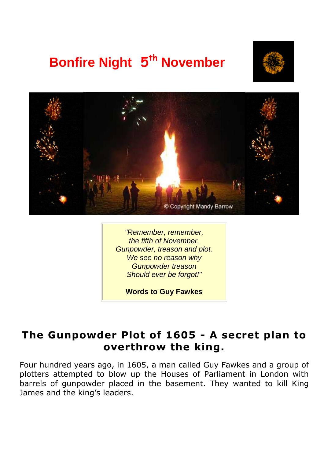# **Bonfire Night 5<sup>th</sup> November**





"Remember, remember, the fifth of November, Gunpowder, treason and plot. We see no reason why Gunpowder treason Should ever be forgot!"

**Words to Guy Fawkes** 

#### **The Gunpowder Plot of 1605 - A secret plan to overthrow the king.**

Four hundred years ago, in 1605, a man called Guy Fawkes and a group of plotters attempted to blow up the Houses of Parliament in London with barrels of gunpowder placed in the basement. They wanted to kill King James and the king's leaders.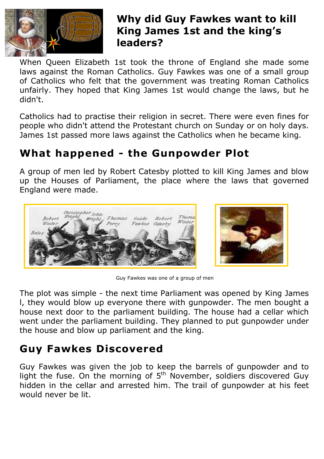

#### **Why did Guy Fawkes want to kill King James 1st and the king's leaders?**

When Queen Elizabeth 1st took the throne of England she made some laws against the Roman Catholics. Guy Fawkes was one of a small group of Catholics who felt that the government was treating Roman Catholics unfairly. They hoped that King James 1st would change the laws, but he didn't.

Catholics had to practise their religion in secret. There were even fines for people who didn't attend the Protestant church on Sunday or on holy days. James 1st passed more laws against the Catholics when he became king.

## **What happened - the Gunpowder Plot**

A group of men led by Robert Catesby plotted to kill King James and blow up the Houses of Parliament, the place where the laws that governed England were made.





Guy Fawkes was one of a group of men

The plot was simple - the next time Parliament was opened by King James l, they would blow up everyone there with gunpowder. The men bought a house next door to the parliament building. The house had a cellar which went under the parliament building. They planned to put gunpowder under the house and blow up parliament and the king.

### **Guy Fawkes Discovered**

Guy Fawkes was given the job to keep the barrels of gunpowder and to light the fuse. On the morning of  $5<sup>th</sup>$  November, soldiers discovered Guy hidden in the cellar and arrested him. The trail of gunpowder at his feet would never be lit.